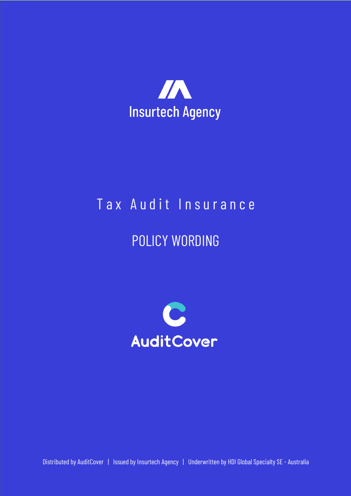

# Tax Audit Insurance

# POLICY WORDING



Distributed by AuditCover | Issued by Insurtech Agency | Underwritten by HDI Global Specialty SE - Australia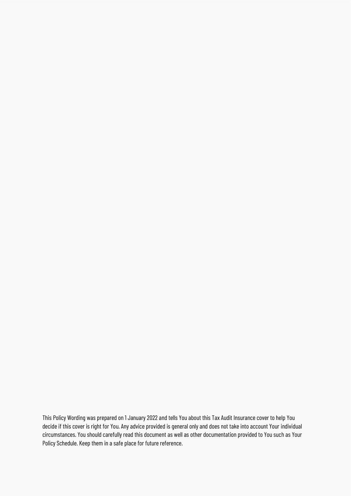This Policy Wording was prepared on 1 January 2022 and tells You about this Tax Audit Insurance cover to help You decide if this cover is right for You. Any advice provided is general only and does not take into account Your individual circumstances. You should carefully read this document as well as other documentation provided to You such as Your Policy Schedule. Keep them in a safe place for future reference.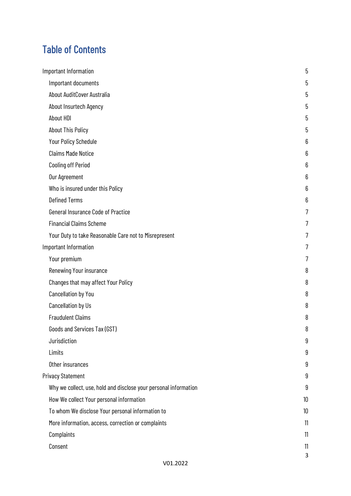### Table of Contents

| Important Information                                            | 5      |
|------------------------------------------------------------------|--------|
| Important documents                                              | 5      |
| About AuditCover Australia                                       | 5      |
| About Insurtech Agency                                           | 5      |
| About HDI                                                        | 5      |
| <b>About This Policy</b>                                         | 5      |
| Your Policy Schedule                                             | 6      |
| <b>Claims Made Notice</b>                                        | 6      |
| <b>Cooling off Period</b>                                        | 6      |
| Our Agreement                                                    | 6      |
| Who is insured under this Policy                                 | 6      |
| <b>Defined Terms</b>                                             | 6      |
| <b>General Insurance Code of Practice</b>                        | 7      |
| <b>Financial Claims Scheme</b>                                   | 7      |
| Your Duty to take Reasonable Care not to Misrepresent            | 7      |
| Important Information                                            | 7      |
| Your premium                                                     | 7      |
| Renewing Your insurance                                          | 8      |
| Changes that may affect Your Policy                              | 8      |
| <b>Cancellation by You</b>                                       | 8      |
| Cancellation by Us                                               | 8      |
| <b>Fraudulent Claims</b>                                         | 8      |
| Goods and Services Tax (GST)                                     | Q<br>υ |
| Jurisdiction                                                     | 9      |
| Limits                                                           | 9      |
| Other insurances                                                 | 9      |
| <b>Privacy Statement</b>                                         | 9      |
| Why we collect, use, hold and disclose your personal information | 9      |
| How We collect Your personal information                         | 10     |
| To whom We disclose Your personal information to                 | 10     |
| More information, access, correction or complaints               | 11     |
| Complaints                                                       | 11     |
| Consent                                                          | 11     |
|                                                                  | 3      |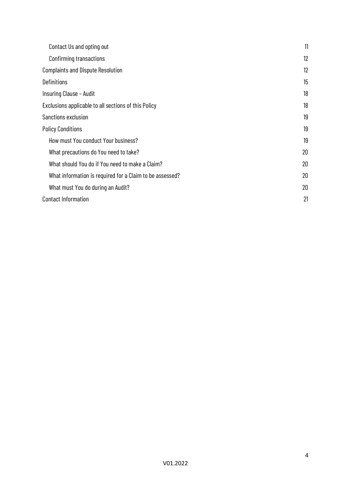| Contact Us and opting out                                | 11 |
|----------------------------------------------------------|----|
| Confirming transactions                                  | 12 |
| <b>Complaints and Dispute Resolution</b>                 | 12 |
| <b>Definitions</b>                                       | 15 |
| Insuring Clause - Audit                                  | 18 |
| Exclusions applicable to all sections of this Policy     | 18 |
| Sanctions exclusion                                      | 19 |
| <b>Policy Conditions</b>                                 | 19 |
| How must You conduct Your business?                      | 19 |
| What precautions do You need to take?                    | 20 |
| What should You do if You need to make a Claim?          | 20 |
| What information is required for a Claim to be assessed? | 20 |
| What must You do during an Audit?                        | 20 |
| <b>Contact Information</b>                               | 21 |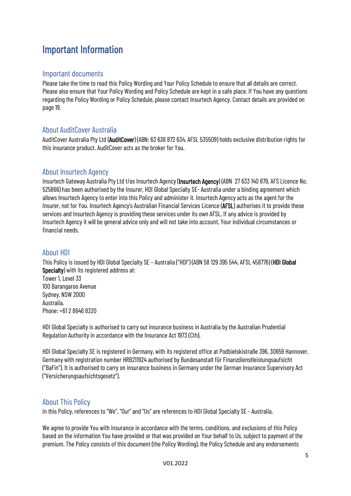### <span id="page-4-0"></span>Important Information

#### <span id="page-4-1"></span>Important documents

Please take the time to read this Policy Wording and Your Policy Schedule to ensure that all details are correct. Please also ensure that Your Policy Wording and Policy Schedule are kept in a safe place. If You have any questions regarding the Policy Wording or Policy Schedule, please contact Insurtech Agency. Contact details are provided on page 19.

#### <span id="page-4-2"></span>About AuditCover Australia

AuditCover Australia Pty Ltd (AuditCover) (ABN: 63 638 872 634, AFSL 535509) holds exclusive distribution rights for this insurance product. AuditCover acts as the broker for You.

#### <span id="page-4-3"></span>About Insurtech Agency

Insurtech Gateway Australia Pty Ltd t/as Insurtech Agency (Insurtech Agency) (ABN 27633 140879, AFS Licence No. 525866) has been authorised by the Insurer, HDI Global Specialty SE- Australia under a binding agreement which allows Insurtech Agency to enter into this Policy and administer it. Insurtech Agency acts as the agent for the Insurer, not for You. Insurtech Agency's Australian Financial Services Licence (AFSL) authorises it to provide these services and Insurtech Agency is providing these services under its own AFSL. If any advice is provided by Insurtech Agency it will be general advice only and will not take into account, Your individual circumstances or financial needs.

#### <span id="page-4-4"></span>About HDI

This Policy is issued by HDI Global Specialty SE – Australia ("HDI") (ABN 58 129 395 544, AFSL 458776) (HDI Global Specialty) with its registered address at:

Tower 1, Level 33 100 Barangaroo Avenue Sydney, NSW 2000 Australia. Phone: +61 2 8646 8320

HDI Global Specialty is authorised to carry out insurance business in Australia by the Australian Prudential Regulation Authority in accordance with the Insurance Act 1973 (Cth).

HDI Global Specialty SE is registered in Germany, with its registered office at Podbielskistraße 396, 30659 Hannover, Germany with registration number HRB211924 authorised by Bundesanstalt für Finanzdienstleistungsaufsicht ("BaFin"). It is authorised to carry on insurance business in Germany under the German Insurance Supervisory Act ("Versicherungsaufsichtsgesetz").

#### <span id="page-4-5"></span>About This Policy

In this Policy, references to "We", "Our" and "Us" are references to HDI Global Specialty SE - Australia.

We agree to provide You with insurance in accordance with the terms, conditions, and exclusions of this Policy based on the information You have provided or that was provided on Your behalf to Us, subject to payment of the premium. The Policy consists of this document (the Policy Wording), the Policy Schedule and any endorsements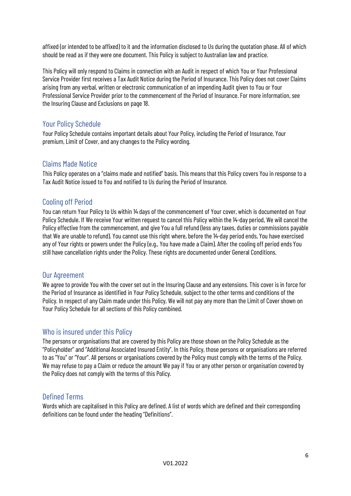affixed (or intended to be affixed) to it and the information disclosed to Us during the quotation phase. All of which should be read as if they were one document. This Policy is subject to Australian law and practice.

This Policy will only respond to Claims in connection with an Audit in respect of which You or Your Professional Service Provider first receives a Tax Audit Notice during the Period of Insurance. This Policy does not cover Claims arising from any verbal, written or electronic communication of an impending Audit given to You or Your Professional Service Provider prior to the commencement of the Period of Insurance. For more information, see the Insuring Clause and Exclusions on page [18.](#page-17-2)

#### <span id="page-5-0"></span>Your Policy Schedule

Your Policy Schedule contains important details about Your Policy, including the Period of Insurance, Your premium, Limit of Cover, and any changes to the Policy wording.

#### <span id="page-5-1"></span>Claims Made Notice

This Policy operates on a "claims made and notified" basis. This means that this Policy covers You in response to a Tax Audit Notice issued to You and notified to Us during the Period of Insurance.

#### <span id="page-5-2"></span>Cooling off Period

You can return Your Policy to Us within 14 days of the commencement of Your cover, which is documented on Your Policy Schedule. If We receive Your written request to cancel this Policy within the 14-day period, We will cancel the Policy effective from the commencement, and give You a full refund (less any taxes, duties or commissions payable that We are unable to refund). You cannot use this right where, before the 14-day period ends, You have exercised any of Your rights or powers under the Policy(e.g., You have made a Claim). After the cooling off period ends You still have cancellation rights under the Policy. These rights are documented under General Conditions.

#### <span id="page-5-3"></span>Our Agreement

We agree to provide You with the cover set out in the Insuring Clause and any extensions. This cover is in force for the Period of Insurance as identified in Your Policy Schedule, subject to the other terms and conditions of the Policy. In respect of any Claim made under this Policy, We will not pay any more than the Limit of Cover shown on Your Policy Schedule for all sections of this Policy combined.

#### <span id="page-5-4"></span>Who is insured under this Policy

The persons or organisations that are covered by this Policy are those shown on the Policy Schedule as the "Policyholder" and "Additional Associated Insured Entity". In this Policy, those persons or organisations are referred to as "You" or "Your". All persons or organisations covered by the Policy must comply with the terms of the Policy. We may refuse to pay a Claim or reduce the amount We pay if You or any other person or organisation covered by the Policy does not comply with the terms of this Policy.

#### <span id="page-5-5"></span>Defined Terms

Words which are capitalised in this Policy are defined. A list of words which are defined and their corresponding definitions can be found under the heading "Definitions".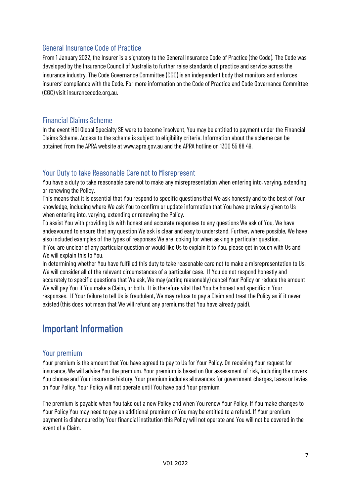#### <span id="page-6-0"></span>General Insurance Code of Practice

From 1 January 2022, the Insurer is a signatory to the General Insurance Code of Practice (the Code). The Code was developed by the Insurance Council of Australia to further raise standards of practice and service across the insurance industry. The Code Governance Committee (CGC) is an independent body that monitors and enforces insurers' compliance with the Code. For more information on the Code of Practice and Code Governance Committee (CGC) visit insurancecode.org.au.

#### <span id="page-6-1"></span>Financial Claims Scheme

In the event HDI Global Specialty SE were to become insolvent, You may be entitled to payment under the Financial Claims Scheme. Access to the scheme is subject to eligibility criteria. Information about the scheme can be obtained from the APRA website at www.apra.gov.au and the APRA hotline on 1300 55 88 49.

#### <span id="page-6-2"></span>Your Duty to take Reasonable Care not to Misrepresent

You have a duty to take reasonable care not to make any misrepresentation when entering into, varying, extending or renewing the Policy.

This means that it is essential that You respond to specific questions that We ask honestly and to the best of Your knowledge, including where We ask You to confirm or update information that You have previously given to Us when entering into, varying, extending or renewing the Policy.

To assist You with providing Us with honest and accurate responses to any questions We ask of You, We have endeavoured to ensure that any question We ask is clear and easy to understand. Further, where possible, We have also included examples of the types of responses We are looking for when asking a particular question. If You are unclear of any particular question or would like Us to explain it to You, please get in touch with Us and We will explain this to You.

In determining whether You have fulfilled this duty to take reasonable care not to make a misrepresentation to Us, We will consider all of the relevant circumstances of a particular case. If You do not respond honestly and accurately to specific questions that We ask, We may (acting reasonably) cancel Your Policy or reduce the amount We will pay You if You make a Claim, or both. It is therefore vital that You be honest and specific in Your responses. If Your failure to tell Us is fraudulent, We may refuse to pay a Claim and treat the Policy as if it never existed (this does not mean that We will refund any premiums that You have already paid).

### <span id="page-6-3"></span>Important Information

#### <span id="page-6-4"></span>Your premium

Your premium is the amount that You have agreed to pay to Us for Your Policy. On receiving Your request for insurance, We will advise You the premium. Your premium is based on Our assessment of risk, including the covers You choose and Your insurance history. Your premium includes allowances for government charges, taxes or levies on Your Policy. Your Policy will not operate until You have paid Your premium.

The premium is payable when You take out a new Policy and when You renew Your Policy. If You make changes to Your Policy You may need to pay an additional premium or You may be entitled to a refund. If Your premium payment is dishonoured by Your financial institution this Policy will not operate and You will not be covered in the event of a Claim.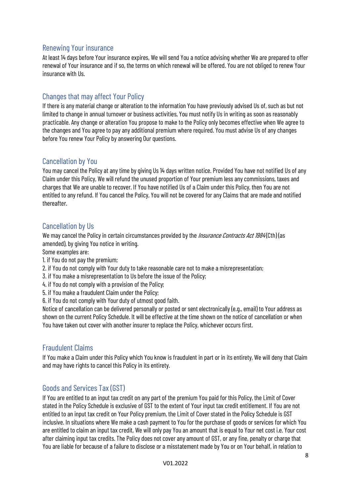#### <span id="page-7-0"></span>Renewing Your insurance

At least 14 days before Your insurance expires, We will send You a notice advising whether We are prepared to offer renewal of Your insurance and if so, the terms on which renewal will be offered. You are not obliged to renew Your insurance with Us.

#### <span id="page-7-1"></span>Changes that may affect Your Policy

If there is any material change or alteration to the information You have previously advised Us of, such as but not limited to change in annual turnover or business activities, You must notify Us in writing as soon as reasonably practicable. Any change or alteration You propose to make to the Policy only becomes effective when We agree to the changes and You agree to pay any additional premium where required. You must advise Us of any changes before You renew Your Policy by answering Our questions.

#### <span id="page-7-2"></span>Cancellation by You

You may cancel the Policy at any time by giving Us 14 days written notice. Provided You have not notified Us of any Claim under this Policy, We will refund the unused proportion of Your premium less any commissions, taxes and charges that We are unable to recover. If You have notified Us of a Claim under this Policy, then You are not entitled to any refund. If You cancel the Policy, You will not be covered for any Claims that are made and notified thereafter.

#### <span id="page-7-3"></span>Cancellation by Us

We may cancel the Policy in certain circumstances provided by the *Insurance Contracts Act 1984* (Cth) (as amended), by giving You notice in writing.

Some examples are:

- 1. if You do not pay the premium;
- 2. if You do not comply with Your duty to take reasonable care not to make a misrepresentation;
- 3. if You make a misrepresentation to Us before the issue of the Policy;
- 4. if You do not comply with a provision of the Policy;
- 5. if You make a fraudulent Claim under the Policy;
- 6. if You do not comply with Your duty of utmost good faith.

Notice of cancellation can be delivered personally or posted or sent electronically (e.g., email) to Your address as shown on the current Policy Schedule. It will be effective at the time shown on the notice of cancellation or when You have taken out cover with another insurer to replace the Policy, whichever occurs first.

#### <span id="page-7-4"></span>Fraudulent Claims

If You make a Claim under this Policy which You know is fraudulent in part or in its entirety, We will deny that Claim and may have rights to cancel this Policy in its entirety.

#### <span id="page-7-5"></span>Goods and Services Tax (GST)

If You are entitled to an input tax credit on any part of the premium You paid for this Policy, the Limit of Cover stated in the Policy Schedule is exclusive of GST to the extent of Your input tax credit entitlement. If You are not entitled to an input tax credit on Your Policy premium, the Limit of Cover stated in the Policy Schedule is GST inclusive. In situations where We make a cash payment to You for the purchase of goods or services for which You are entitled to claim an input tax credit, We will only pay You an amount that is equal to Your net cost i.e. Your cost after claiming input tax credits. The Policy does not cover any amount of GST, or any fine, penalty or charge that You are liable for because of a failure to disclose or a misstatement made by You or on Your behalf, in relation to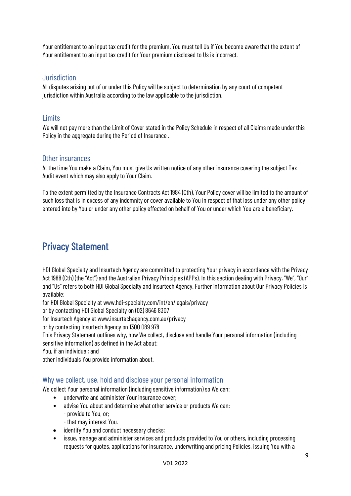Your entitlement to an input tax credit for the premium. You must tell Us if You become aware that the extent of Your entitlement to an input tax credit for Your premium disclosed to Us is incorrect.

#### <span id="page-8-0"></span>Jurisdiction

All disputes arising out of or under this Policy will be subject to determination by any court of competent jurisdiction within Australia according to the law applicable to the jurisdiction.

#### <span id="page-8-1"></span>**Limits**

We will not pay more than the Limit of Cover stated in the Policy Schedule in respect of all Claims made under this Policy in the aggregate during the Period of Insurance.

#### <span id="page-8-2"></span>Other insurances

At the time You make a Claim, You must give Us written notice of any other insurance covering the subject Tax Audit event which may also apply to Your Claim.

To the extent permitted by the Insurance Contracts Act 1984 (Cth), Your Policy cover will be limited to the amount of such loss that is in excess of any indemnity or cover available to You in respect of that loss under any other policy entered into by You or under any other policy effected on behalf of You or under which You are a beneficiary.

### <span id="page-8-3"></span>Privacy Statement

HDI Global Specialty and Insurtech Agency are committed to protecting Your privacy in accordance with the Privacy Act 1988 (Cth) (the "Act") and the Australian Privacy Principles (APPs). In this section dealing with Privacy, "We", "Our" and "Us" refers to both HDI Global Specialty and Insurtech Agency. Further information about Our Privacy Policies is available:

for HDI Global Specialty at www.hdi-specialty.com/int/en/legals/privacy

or by contacting HDI Global Specialty on (02) 8646 8307

for Insurtech Agency at www.insurtechagency.com.au/privacy

or by contacting Insurtech Agency on 1300 089 978

This Privacy Statement outlines why, how We collect, disclose and handle Your personal information (including sensitive information) as defined in the Act about:

You, if an individual; and

other individuals You provide information about.

#### <span id="page-8-4"></span>Why we collect, use, hold and disclose your personal information

We collect Your personal information (including sensitive information) so We can:

- underwrite and administer Your insurance cover;
- advise You about and determine what other service or products We can:
	- provide to You, or;
	- that may interest You.
- identify You and conduct necessary checks;
- issue, manage and administer services and products provided to You or others, including processing requests for quotes, applications for insurance, underwriting and pricing Policies, issuing You with a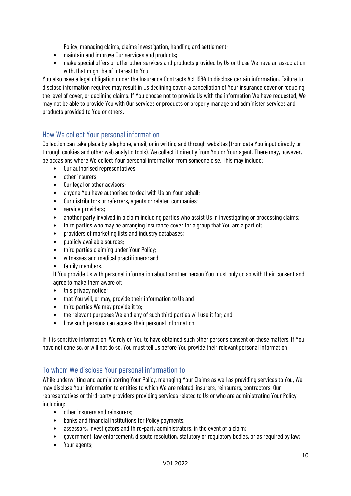Policy, managing claims, claims investigation, handling and settlement;

- maintain and improve Our services and products;
- make special offers or offer other services and products provided by Us or those We have an association with, that might be of interest to You.

You also have a legal obligation under the Insurance Contracts Act 1984 to disclose certain information. Failure to disclose information required may result in Us declining cover, a cancellation of Your insurance cover or reducing the level of cover, or declining claims. If You choose not to provide Us with the information We have requested, We may not be able to provide You with Our services or products or properly manage and administer services and products provided to You or others.

### <span id="page-9-0"></span>How We collect Your personal information

Collection can take place by telephone, email, or in writing and through websites (from data You input directly or through cookies and other web analytic tools). We collect it directly from You or Your agent. There may, however, be occasions where We collect Your personal information from someone else. This may include:

- Our authorised representatives;
- other insurers;
- Our legal or other advisors;
- anyone You have authorised to deal with Us on Your behalf;
- Our distributors or referrers, agents or related companies;
- service providers;
- another party involved in a claim including parties who assist Us in investigating or processing claims;
- third parties who may be arranging insurance cover for a group that You are a part of;
- providers of marketing lists and industry databases;
- publicly available sources;
- third parties claiming under Your Policy;
- witnesses and medical practitioners; and
- family members.

If You provide Us with personal information about another person You must only do so with their consent and agree to make them aware of:

- this privacy notice;
- that You will, or may, provide their information to Us and
- third parties We may provide it to;
- the relevant purposes We and any of such third parties will use it for; and
- how such persons can access their personal information.

If it is sensitive information, We rely on You to have obtained such other persons consent on these matters. If You have not done so, or will not do so, You must tell Us before You provide their relevant personal information

#### <span id="page-9-1"></span>To whom We disclose Your personal information to

While underwriting and administering Your Policy, managing Your Claims as well as providing services to You, We may disclose Your information to entities to which We are related, insurers, reinsurers, contractors, Our representatives or third-party providers providing services related to Us or who are administrating Your Policy including:

- other insurers and reinsurers;
- banks and financial institutions for Policy payments;
- assessors, investigators and third-party administrators, in the event of a claim;
- government, law enforcement, dispute resolution, statutory or regulatory bodies, or as required by law;
- Your agents;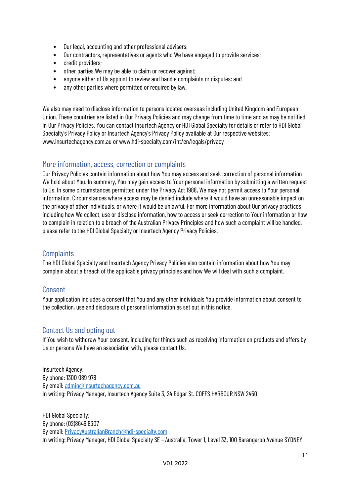- Our legal, accounting and other professional advisers;
- Our contractors, representatives or agents who We have engaged to provide services;
- credit providers;
- other parties We may be able to claim or recover against;
- anyone either of Us appoint to review and handle complaints or disputes; and
- any other parties where permitted or required bylaw.

We also may need to disclose information to persons located overseas including United Kingdom and European Union. These countries are listed in Our Privacy Policies and may change from time to time and as may be notified in Our Privacy Policies. You can contact Insurtech Agency or HDI Global Specialty for details or refer to HDI Global Specialty's Privacy Policy or Insurtech Agency's Privacy Policy available at Our respective websites: www.insurtechagency.com.au or www.hdi-specialty.com/int/en/legals/privacy

#### <span id="page-10-0"></span>More information, access, correction or complaints

Our Privacy Policies contain information about how You may access and seek correction of personal information We hold about You. In summary, You may gain access to Your personal information by submitting a written request to Us. In some circumstances permitted under the Privacy Act 1988, We may not permit access to Your personal information. Circumstances where access may be denied include where it would have an unreasonable impact on the privacy of other individuals, or where it would be unlawful. For more information about Our privacy practices including how We collect, use or disclose information, how to access or seek correction to Your information or how to complain in relation to a breach of the Australian Privacy Principles and how such a complaint will be handled, please refer to the HDI Global Specialty or Insurtech Agency Privacy Policies.

#### <span id="page-10-1"></span>**Complaints**

The HDI Global Specialty and Insurtech Agency Privacy Policies also contain information about how You may complain about a breach of the applicable privacy principles and how We will deal with such a complaint.

#### <span id="page-10-2"></span>Consent

Your application includes a consent that You and any other individuals You provide information about consent to the collection, use and disclosure of personal information as set out in this notice.

#### <span id="page-10-3"></span>Contact Us and opting out

If You wish to withdraw Your consent, including for things such as receiving information on products and offers by Us or persons We have an association with, please contact Us.

Insurtech Agency: By phone: 1300 089 978 By email: [admin@insurtechagency.com.au](mailto:admin@insurtechagency.com.au) In writing: Privacy Manager, Insurtech Agency Suite 3, 24 Edgar St. COFFS HARBOUR NSW 2450

HDI Global Specialty: By phone: (02)8646 8307 By email: [PrivacyAustralianBranch@hdi-specialty.com](mailto:PrivacyAustralianBranch@hdi-specialty.com) In writing: Privacy Manager, HDI Global Specialty SE – Australia, Tower 1, Level 33, 100 Barangaroo Avenue SYDNEY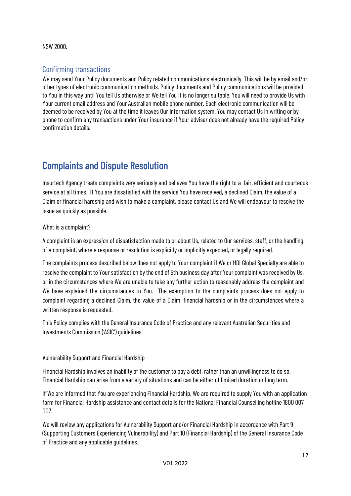#### NSW 2000.

#### <span id="page-11-0"></span>Confirming transactions

We may send Your Policy documents and Policy related communications electronically. This will be by email and/or other types of electronic communication methods. Policy documents and Policy communications will be provided to You in this way until You tell Us otherwise or We tell You it is no longer suitable. You will need to provide Us with Your current email address and Your Australian mobile phone number. Each electronic communication will be deemed to be received by You at the time it leaves Our information system. You may contact Us in writing or by phone to confirm any transactions under Your insurance if Your adviser does not already have the required Policy confirmation details.

### <span id="page-11-1"></span>Complaints and Dispute Resolution

Insurtech Agency treats complaints very seriously and believes You have the right to a fair, efficient and courteous service at all times. If You are dissatisfied with the service You have received, a declined Claim, the value of a Claim or financial hardship and wish to make a complaint, please contact Us and We will endeavour to resolve the issue as quickly as possible.

#### What is a complaint?

A complaint is an expression of dissatisfaction made to or about Us, related to Our services, staff, or the handling of a complaint, where a response or resolution is explicitly or implicitly expected, or legally required.

The complaints process described below does not apply to Your complaint if We or HDI Global Specialty are able to resolve the complaint to Your satisfaction by the end of 5th business day after Your complaint was received by Us, or in the circumstances where We are unable to take any further action to reasonably address the complaint and We have explained the circumstances to You. The exemption to the complaints process does not apply to complaint regarding a declined Claim, the value of a Claim, financial hardship or in the circumstances where a written response is requested.

This Policy complies with the General Insurance Code of Practice and any relevant Australian Securities and Investments Commission ('ASIC') guidelines.

#### Vulnerability Support and Financial Hardship

Financial Hardship involves an inability of the customer to pay a debt, rather than an unwillingness to do so. Financial Hardship can arise from a variety of situations and can be either of limited duration or long term.

If We are informed that You are experiencing Financial Hardship, We are required to supply You with an application form for Financial Hardship assistance and contact details for the National Financial Counselling hotline 1800 007 007.

We will review any applications for Vulnerability Support and/or Financial Hardship in accordance with Part 9 (Supporting Customers Experiencing Vulnerability) and Part 10 (Financial Hardship) of the General Insurance Code of Practice and any applicable guidelines.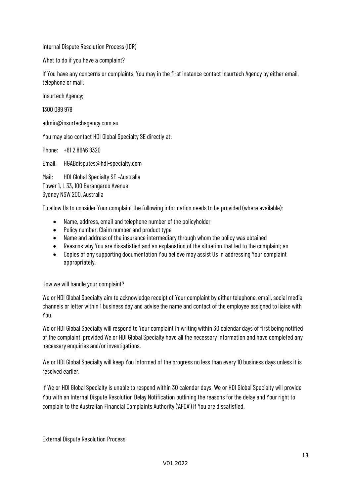Internal Dispute Resolution Process (IDR)

What to do if you have a complaint?

If You have any concerns or complaints, You may in the first instance contact Insurtech Agency by either email, telephone or mail:

Insurtech Agency;

1300 089 978

admin@insurtechagency.com.au

You may also contact HDI Global Specialty SE directly at:

Phone: +61 2 8646 8320

Email: HGABdisputes@hdi-specialty.com

Mail: HDI Global Specialty SE –Australia Tower 1, L 33, 100 Barangaroo Avenue Sydney NSW 200, Australia

To allow Us to consider Your complaint the following information needs to be provided (where available):

- Name, address, email and telephone number of the policyholder
- Policy number, Claim number and product type
- Name and address of the insurance intermediary through whom the policy was obtained
- Reasons why You are dissatisfied and an explanation of the situation that led to the complaint; an
- Copies of any supporting documentation You believe may assist Us in addressing Your complaint appropriately.

How we will handle your complaint?

We or HDI Global Specialty aim to acknowledge receipt of Your complaint by either telephone, email, social media channels or letter within 1 business day and advise the name and contact of the employee assigned to liaise with You.

We or HDI Global Specialty will respond to Your complaint in writing within 30 calendar days of first being notified of the complaint, provided We or HDI Global Specialty have all the necessary information and have completed any necessary enquiries and/or investigations.

We or HDI Global Specialty will keep You informed of the progress no less than every 10 business days unless it is resolved earlier.

If We or HDI Global Specialty is unable to respond within 30 calendar days, We or HDI Global Specialty will provide You with an Internal Dispute Resolution Delay Notification outlining the reasons for the delay and Your right to complain to the Australian Financial Complaints Authority ('AFCA') if You are dissatisfied.

External Dispute Resolution Process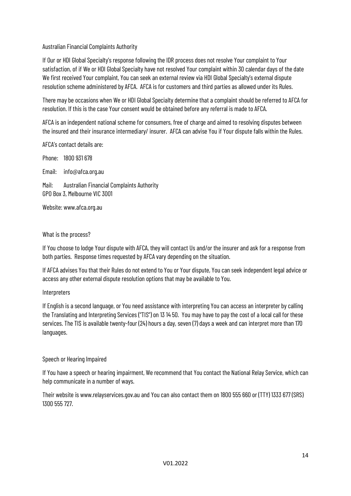#### Australian Financial Complaints Authority

If Our or HDI Global Specialty's response following the IDR process does not resolve Your complaint to Your satisfaction, of if We or HDI Global Specialty have not resolved Your complaint within 30 calendar days of the date We first received Your complaint, You can seek an external review via HDI Global Specialty's external dispute resolution scheme administered by AFCA. AFCA is for customers and third parties as allowed under its Rules.

There may be occasions when We or HDI Global Specialty determine that a complaint should be referred to AFCA for resolution. If this is the case Your consent would be obtained before any referral is made to AFCA.

AFCA is an independent national scheme for consumers, free of charge and aimed to resolving disputes between the insured and their insurance intermediary/ insurer. AFCA can advise You if Your dispute falls within the Rules.

AFCA's contact details are:

Phone: 1800 931 678

Email: [info@afca.org.au](mailto:info@afca.org.au)

Mail: Australian Financial Complaints Authority GPO Box 3, Melbourne VIC 3001

Website: [www.afca.org.au](http://www.afca.org.au/)

#### What is the process?

If You choose to lodge Your dispute with AFCA, they will contact Us and/or the insurer and ask for a response from both parties. Response times requested by AFCA vary depending on the situation.

If AFCA advises You that their Rules do not extend to You or Your dispute, You can seek independent legal advice or access any other external dispute resolution options that may be available to You.

#### Interpreters

If English is a second language, or You need assistance with interpreting You can access an interpreter by calling the Translating and Interpreting Services ("TIS") on 13 14 50. You may have to pay the cost of a local call for these services. The TIS is available twenty-four (24) hours a day, seven (7) days a week and can interpret more than 170 languages.

#### Speech or Hearing Impaired

If You have a speech or hearing impairment, We recommend that You contact the National Relay Service, which can help communicate in a number of ways.

Their website is [www.relayservices.gov.au](http://www.relayservices.gov.au/) and You can also contact them on 1800 555 660 or (TTY) 1333 677 (SRS) 1300 555 727.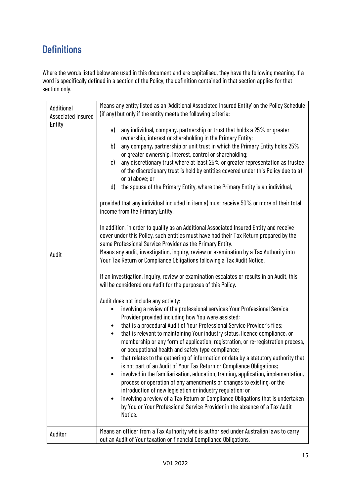### <span id="page-14-0"></span>**Definitions**

Where the words listed below are used in this document and are capitalised, they have the following meaning. If a word is specifically defined in a section of the Policy, the definition contained in that section applies for that section only.

| Additional<br><b>Associated Insured</b> | Means any entity listed as an 'Additional Associated Insured Entity' on the Policy Schedule<br>(if any) but only if the entity meets the following criteria:                                                                                                                                                                                                                                                                                                                                                                                                                                                                                                                                                                                                                                                                                                                                                                                                                                                                                                                                                                                                        |  |
|-----------------------------------------|---------------------------------------------------------------------------------------------------------------------------------------------------------------------------------------------------------------------------------------------------------------------------------------------------------------------------------------------------------------------------------------------------------------------------------------------------------------------------------------------------------------------------------------------------------------------------------------------------------------------------------------------------------------------------------------------------------------------------------------------------------------------------------------------------------------------------------------------------------------------------------------------------------------------------------------------------------------------------------------------------------------------------------------------------------------------------------------------------------------------------------------------------------------------|--|
| Entity                                  | any individual, company, partnership or trust that holds a 25% or greater<br>a)<br>ownership, interest or shareholding in the Primary Entity;<br>any company, partnership or unit trust in which the Primary Entity holds 25%<br>b)<br>or greater ownership, interest, control or shareholding;<br>any discretionary trust where at least 25% or greater representation as trustee<br>c)<br>of the discretionary trust is held by entities covered under this Policy due to a)<br>or b) above; or<br>the spouse of the Primary Entity, where the Primary Entity is an individual,<br>d)<br>provided that any individual included in item a) must receive 50% or more of their total<br>income from the Primary Entity.                                                                                                                                                                                                                                                                                                                                                                                                                                              |  |
|                                         | In addition, in order to qualify as an Additional Associated Insured Entity and receive<br>cover under this Policy, such entities must have had their Tax Return prepared by the<br>same Professional Service Provider as the Primary Entity.                                                                                                                                                                                                                                                                                                                                                                                                                                                                                                                                                                                                                                                                                                                                                                                                                                                                                                                       |  |
| Audit                                   | Means any audit, investigation, inquiry, review or examination by a Tax Authority into<br>Your Tax Return or Compliance Obligations following a Tax Audit Notice.<br>If an investigation, inquiry, review or examination escalates or results in an Audit, this                                                                                                                                                                                                                                                                                                                                                                                                                                                                                                                                                                                                                                                                                                                                                                                                                                                                                                     |  |
|                                         | will be considered one Audit for the purposes of this Policy.<br>Audit does not include any activity:<br>involving a review of the professional services Your Professional Service<br>Provider provided including how You were assisted;<br>that is a procedural Audit of Your Professional Service Provider's files;<br>$\bullet$<br>that is relevant to maintaining Your industry status, licence compliance, or<br>$\bullet$<br>membership or any form of application, registration, or re-registration process,<br>or occupational health and safety type compliance;<br>that relates to the gathering of information or data by a statutory authority that<br>$\bullet$<br>is not part of an Audit of Your Tax Return or Compliance Obligations;<br>involved in the familiarisation, education, training, application, implementation,<br>٠<br>process or operation of any amendments or changes to existing, or the<br>introduction of new legislation or industry regulation; or<br>involving a review of a Tax Return or Compliance Obligations that is undertaken<br>by You or Your Professional Service Provider in the absence of a Tax Audit<br>Notice. |  |
| Auditor                                 | Means an officer from a Tax Authority who is authorised under Australian laws to carry<br>out an Audit of Your taxation or financial Compliance Obligations.                                                                                                                                                                                                                                                                                                                                                                                                                                                                                                                                                                                                                                                                                                                                                                                                                                                                                                                                                                                                        |  |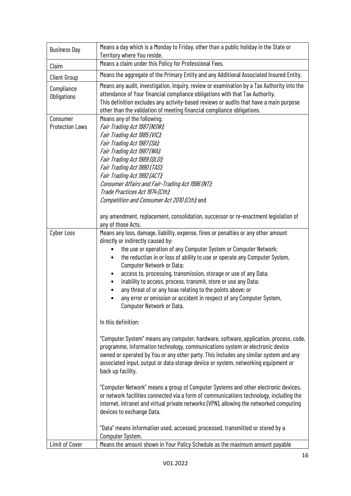| <b>Business Day</b>                | Means a day which is a Monday to Friday, other than a public holiday in the State or<br>Territory where You reside.                                                                                                                                                                                                                                                                                                                                                                                                                                                                                                    |  |  |
|------------------------------------|------------------------------------------------------------------------------------------------------------------------------------------------------------------------------------------------------------------------------------------------------------------------------------------------------------------------------------------------------------------------------------------------------------------------------------------------------------------------------------------------------------------------------------------------------------------------------------------------------------------------|--|--|
| Claim                              | Means a claim under this Policy for Professional Fees.                                                                                                                                                                                                                                                                                                                                                                                                                                                                                                                                                                 |  |  |
| <b>Client Group</b>                | Means the aggregate of the Primary Entity and any Additional Associated Insured Entity.                                                                                                                                                                                                                                                                                                                                                                                                                                                                                                                                |  |  |
| Compliance<br>Obligations          | Means any audit, investigation, inquiry, review or examination by a Tax Authority into the<br>attendance of Your financial compliance obligations with that Tax Authority.<br>This definition excludes any activity-based reviews or audits that have a main purpose<br>other than the validation of meeting financial compliance obligations.                                                                                                                                                                                                                                                                         |  |  |
| Consumer<br><b>Protection Laws</b> | Means any of the following:<br>Fair Trading Act 1987 (NSW);<br>Fair Trading Act 1985 (VIC);<br>Fair Trading Act 1987(SA);<br>Fair Trading Act 1987 (WA);<br>Fair Trading Act 1989 (QLD);<br>Fair Trading Act 1990 (TAS);<br>Fair Trading Act 1992 (ACT);<br>Consumer Affairs and Fair-Trading Act 1996 (NT);<br>Trade Practices Act 1974 (Cth);<br>Competition and Consumer Act 2010 (Cth); and<br>any amendment, replacement, consolidation, successor or re-enactment legislation of                                                                                                                                 |  |  |
|                                    | any of those Acts.                                                                                                                                                                                                                                                                                                                                                                                                                                                                                                                                                                                                     |  |  |
| <b>Cyber Loss</b>                  | Means any loss, damage, liability, expense, fines or penalties or any other amount<br>directly or indirectly caused by:<br>the use or operation of any Computer System or Computer Network;<br>the reduction in or loss of ability to use or operate any Computer System,<br><b>Computer Network or Data;</b><br>access to, processing, transmission, storage or use of any Data;<br>inability to access, process, transmit, store or use any Data;<br>any threat of or any hoax relating to the points above; or<br>any error or omission or accident in respect of any Computer System,<br>Computer Network or Data. |  |  |
|                                    | In this definition:                                                                                                                                                                                                                                                                                                                                                                                                                                                                                                                                                                                                    |  |  |
|                                    | "Computer System" means any computer, hardware, software, application, process, code,<br>programme, information technology, communications system or electronic device<br>owned or operated by You or any other party. This includes any similar system and any<br>associated input, output or data storage device or system, networking equipment or<br>back up facility.                                                                                                                                                                                                                                             |  |  |
|                                    | "Computer Network" means a group of Computer Systems and other electronic devices,<br>or network facilities connected via a form of communications technology, including the<br>internet, intranet and virtual private networks (VPN), allowing the networked computing<br>devices to exchange Data.                                                                                                                                                                                                                                                                                                                   |  |  |
|                                    | "Data" means information used, accessed, processed, transmitted or stored by a<br>Computer System.                                                                                                                                                                                                                                                                                                                                                                                                                                                                                                                     |  |  |
| Limit of Cover                     | Means the amount shown in Your Policy Schedule as the maximum amount payable                                                                                                                                                                                                                                                                                                                                                                                                                                                                                                                                           |  |  |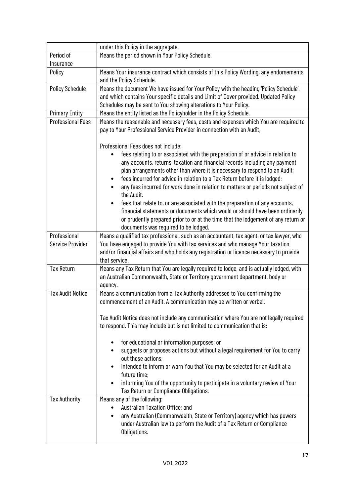|                                         | under this Policy in the aggregate.                                                                                                                                                                                                                                                                                                                                                                                                                                                                                                                                                                                                                                                                                                                             |  |
|-----------------------------------------|-----------------------------------------------------------------------------------------------------------------------------------------------------------------------------------------------------------------------------------------------------------------------------------------------------------------------------------------------------------------------------------------------------------------------------------------------------------------------------------------------------------------------------------------------------------------------------------------------------------------------------------------------------------------------------------------------------------------------------------------------------------------|--|
| Period of                               | Means the period shown in Your Policy Schedule.                                                                                                                                                                                                                                                                                                                                                                                                                                                                                                                                                                                                                                                                                                                 |  |
| Insurance                               |                                                                                                                                                                                                                                                                                                                                                                                                                                                                                                                                                                                                                                                                                                                                                                 |  |
| Policy                                  | Means Your insurance contract which consists of this Policy Wording, any endorsements<br>and the Policy Schedule.                                                                                                                                                                                                                                                                                                                                                                                                                                                                                                                                                                                                                                               |  |
| <b>Policy Schedule</b>                  | Means the document We have issued for Your Policy with the heading 'Policy Schedule',<br>and which contains Your specific details and Limit of Cover provided. Updated Policy<br>Schedules may be sent to You showing alterations to Your Policy.                                                                                                                                                                                                                                                                                                                                                                                                                                                                                                               |  |
| <b>Primary Entity</b>                   | Means the entity listed as the Policyholder in the Policy Schedule.                                                                                                                                                                                                                                                                                                                                                                                                                                                                                                                                                                                                                                                                                             |  |
| <b>Professional Fees</b>                | Means the reasonable and necessary fees, costs and expenses which You are required to<br>pay to Your Professional Service Provider in connection with an Audit,                                                                                                                                                                                                                                                                                                                                                                                                                                                                                                                                                                                                 |  |
|                                         | Professional Fees does not include:<br>fees relating to or associated with the preparation of or advice in relation to<br>any accounts, returns, taxation and financial records including any payment<br>plan arrangements other than where it is necessary to respond to an Audit;<br>fees incurred for advice in relation to a Tax Return before it is lodged;<br>any fees incurred for work done in relation to matters or periods not subject of<br>the Audit.<br>fees that relate to, or are associated with the preparation of any accounts,<br>financial statements or documents which would or should have been ordinarily<br>or prudently prepared prior to or at the time that the lodgement of any return or<br>documents was required to be lodged. |  |
| Professional<br><b>Service Provider</b> | Means a qualified tax professional, such as an accountant, tax agent, or tax lawyer, who<br>You have engaged to provide You with tax services and who manage Your taxation<br>and/or financial affairs and who holds any registration or licence necessary to provide<br>that service.                                                                                                                                                                                                                                                                                                                                                                                                                                                                          |  |
| <b>Tax Return</b>                       | Means any Tax Return that You are legally required to lodge, and is actually lodged, with<br>an Australian Commonwealth, State or Territory government department, body or<br>agency.                                                                                                                                                                                                                                                                                                                                                                                                                                                                                                                                                                           |  |
| <b>Tax Audit Notice</b>                 | Means a communication from a Tax Authority addressed to You confirming the<br>commencement of an Audit. A communication may be written or verbal.                                                                                                                                                                                                                                                                                                                                                                                                                                                                                                                                                                                                               |  |
|                                         | Tax Audit Notice does not include any communication where You are not legally required<br>to respond. This may include but is not limited to communication that is:                                                                                                                                                                                                                                                                                                                                                                                                                                                                                                                                                                                             |  |
|                                         | for educational or information purposes; or<br>suggests or proposes actions but without a legal requirement for You to carry<br>out those actions:<br>intended to inform or warn You that You may be selected for an Audit at a<br>future time;<br>informing You of the opportunity to participate in a voluntary review of Your                                                                                                                                                                                                                                                                                                                                                                                                                                |  |
|                                         | Tax Return or Compliance Obligations.                                                                                                                                                                                                                                                                                                                                                                                                                                                                                                                                                                                                                                                                                                                           |  |
| <b>Tax Authority</b>                    | Means any of the following:<br>Australian Taxation Office; and<br>any Australian (Commonwealth, State or Territory) agency which has powers<br>under Australian law to perform the Audit of a Tax Return or Compliance<br>Obligations.                                                                                                                                                                                                                                                                                                                                                                                                                                                                                                                          |  |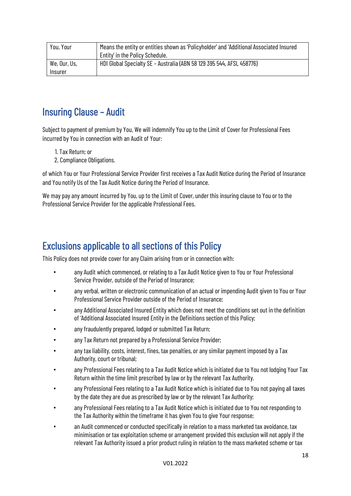| You, Your               | Means the entity or entities shown as 'Policyholder' and 'Additional Associated Insured<br>Entity' in the Policy Schedule. |
|-------------------------|----------------------------------------------------------------------------------------------------------------------------|
| We, Our, Us,<br>Insurer | HDI Global Specialty SE - Australia (ABN 58 129 395 544, AFSL 458776)                                                      |

### <span id="page-17-2"></span><span id="page-17-0"></span>Insuring Clause – Audit

Subject to payment of premium by You, We will indemnify You up to the Limit of Cover for Professional Fees incurred by You in connection with an Audit of Your:

- 1. Tax Return; or
- 2. Compliance Obligations.

of which You or Your Professional Service Provider first receives a Tax Audit Notice during the Period of Insurance and You notify Us of the Tax Audit Notice during the Period of Insurance.

We may pay any amount incurred by You, up to the Limit of Cover, under this insuring clause to You or to the Professional Service Provider for the applicable Professional Fees.

### <span id="page-17-1"></span>Exclusions applicable to all sections of this Policy

This Policy does not provide cover for any Claim arising from or in connection with:

- any Audit which commenced, or relating to a Tax Audit Notice given to You or Your Professional Service Provider, outside of the Period of Insurance;
- any verbal, written or electronic communication of an actual or impending Audit given to You or Your Professional Service Provider outside of the Period of Insurance;
- any Additional Associated Insured Entity which does not meet the conditions set out in the definition of 'Additional Associated Insured Entity in the Definitions section of this Policy;
- any fraudulently prepared, lodged or submitted Tax Return;
- any Tax Return not prepared by a Professional Service Provider;
- any tax liability, costs, interest, fines, tax penalties, or any similar payment imposed by a Tax Authority, court or tribunal;
- any Professional Fees relating to a Tax Audit Notice which is initiated due to You not lodging Your Tax Return within the time limit prescribed by law or by the relevant Tax Authority.
- any Professional Fees relating to a Tax Audit Notice which is initiated due to You not paying all taxes by the date they are due as prescribed by law or by the relevant Tax Authority;
- any Professional Fees relating to a Tax Audit Notice which is initiated due to You not responding to the Tax Authority within the timeframe it has given You to give Your response;
- an Audit commenced or conducted specifically in relation to a mass marketed tax avoidance, tax minimisation or tax exploitation scheme or arrangement provided this exclusion will not apply if the relevant Tax Authority issued a prior product ruling in relation to the mass marketed scheme or tax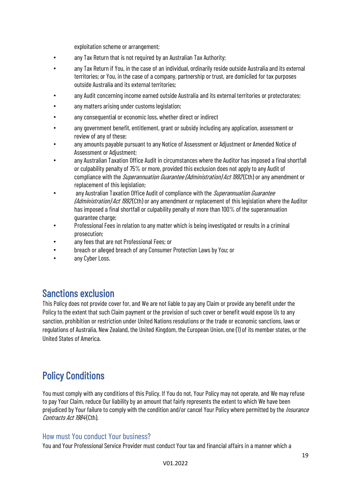exploitation scheme or arrangement;

- any Tax Return that is not required by an Australian Tax Authority;
- any Tax Return if You, in the case of an individual, ordinarily reside outside Australia and its external territories; or You, in the case of a company, partnership or trust, are domiciled for tax purposes outside Australia and its external territories;
- any Audit concerning income earned outside Australia and its external territories or protectorates;
- any matters arising under customs legislation;
- any consequential or economic loss, whether direct or indirect
- any government benefit, entitlement, grant or subsidy including any application, assessment or review of any of these;
- any amounts payable pursuant to any Notice of Assessment or Adjustment or Amended Notice of Assessment or Adjustment;
- any Australian Taxation Office Audit in circumstances where the Auditor has imposed a final shortfall or culpability penalty of 75% or more, provided this exclusion does not apply to any Audit of compliance with the *Superannuation Guarantee (Administration) Act 1992* (Cth) or any amendment or replacement of this legislation;
- any Australian Taxation Office Audit of compliance with the Superannuation Guarantee (Administration) Act 1992 (Cth) or any amendment or replacement of this legislation where the Auditor has imposed a final shortfall or culpability penalty of more than 100% of the superannuation guarantee charge;
- Professional Fees in relation to any matter which is being investigated or results in a criminal prosecution;
- any fees that are not Professional Fees; or
- breach or alleged breach of any Consumer Protection Laws by You; or
- any Cyber Loss.

<span id="page-18-0"></span>**Sanctions exclusion**<br>This Policy does not provide cover for, and We are not liable to pay any Claim or provide any benefit under the Policy to the extent that such Claim payment or the provision of such cover or benefit would expose Us to any sanction, prohibition or restriction under United Nations resolutions or the trade or economic sanctions, laws or regulations of Australia, New Zealand, the United Kingdom, the European Union, one (1) of its member states, or the United States of America.

### <span id="page-18-1"></span>Policy Conditions

You must comply with any conditions of this Policy. If You do not, Your Policy may not operate, and We may refuse to pay Your Claim, reduce Our liability by an amount that fairly represents the extent to which We have been prejudiced by Your failure to comply with the condition and/or cancel Your Policy where permitted by the *Insurance* Contracts Act 1984(Cth).

#### <span id="page-18-2"></span>How must You conduct Your business?

You and Your Professional Service Provider must conduct Your tax and financial affairs in a manner which a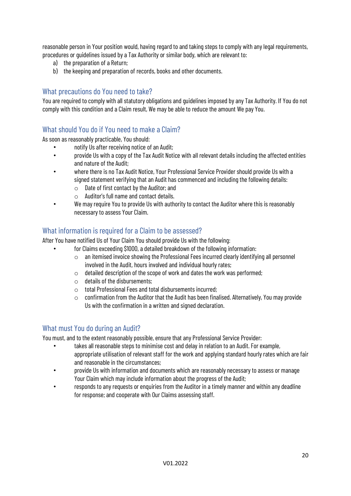reasonable person in Your position would, having regard to and taking steps to comply with any legal requirements, procedures or guidelines issued by a Tax Authority or similar body, which are relevant to:

- a) the preparation of a Return;
- b) the keeping and preparation of records, books and other documents.

#### <span id="page-19-0"></span>What precautions do You need to take?

You are required to comply with all statutory obligations and guidelines imposed by any Tax Authority. If You do not comply with this condition and a Claim result, We may be able to reduce the amount We pay You.

#### <span id="page-19-1"></span>What should You do if You need to make a Claim?

As soon as reasonably practicable, You should:

- notify Us after receiving notice of an Audit;
- provide Us with a copy of the Tax Audit Notice with all relevant details including the affected entities and nature of the Audit;
- where there is no Tax Audit Notice, Your Professional Service Provider should provide Us with a signed statement verifying that an Audit has commenced and including the following details:
	- $\circ$  Date of first contact by the Auditor; and
	- o Auditor's full name and contact details.
- We may require You to provide Us with authority to contact the Auditor where this is reasonably necessary to assess Your Claim.

#### <span id="page-19-2"></span>What information is required for a Claim to be assessed?

After You have notified Us of Your Claim You should provide Us with the following:

- for Claims exceeding \$1000, a detailed breakdown of the following information:
	- o an itemised invoice showing the Professional Fees incurred clearly identifying all personnel involved in the Audit, hours involved and individual hourly rates;
	- $\circ$  detailed description of the scope of work and dates the work was performed;
	- $\circ$  details of the disbursements:
	- $\circ$  total Professional Fees and total disbursements incurred;
	- o confirmation from the Auditor that the Audit has been finalised. Alternatively, You may provide Us with the confirmation in a written and signed declaration.

#### <span id="page-19-3"></span>What must You do during an Audit?

You must, and to the extent reasonably possible, ensure that any Professional Service Provider:

- takes all reasonable steps to minimise cost and delay in relation to an Audit. For example, appropriate utilisation of relevant staff for the work and applying standard hourly rates which are fair and reasonable in the circumstances;
- provide Us with information and documents which are reasonably necessary to assess or manage Your Claim which may include information about the progress of the Audit;
- responds to any requests or enquiries from the Auditor in a timely manner and within any deadline for response; and cooperate with Our Claims assessing staff.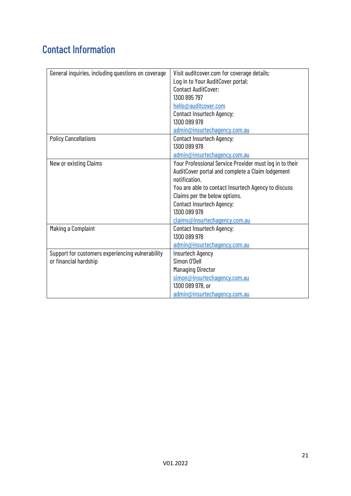## <span id="page-20-0"></span>Contact Information

| General inquiries, including questions on coverage | Visit auditcover.com for coverage details;              |
|----------------------------------------------------|---------------------------------------------------------|
|                                                    | Log in to Your AuditCover portal;                       |
|                                                    | Contact AuditCover;                                     |
|                                                    | 1300 895 797                                            |
|                                                    | hello@auditcover.com                                    |
|                                                    | Contact Insurtech Agency;                               |
|                                                    | 1300 089 978                                            |
|                                                    | admin@insurtechagency.com.au                            |
| <b>Policy Cancellations</b>                        | <b>Contact Insurtech Agency;</b>                        |
|                                                    | 1300 089 978                                            |
|                                                    | admin@insurtechagency.com.au                            |
| New or existing Claims                             | Your Professional Service Provider must log in to their |
|                                                    | AuditCover portal and complete a Claim lodgement        |
|                                                    | notification.                                           |
|                                                    | You are able to contact Insurtech Agency to discuss     |
|                                                    | Claims per the below options.                           |
|                                                    | <b>Contact Insurtech Agency;</b>                        |
|                                                    | 1300 089 978                                            |
|                                                    | claims@insurtechagency.com.au                           |
| Making a Complaint                                 | <b>Contact Insurtech Agency;</b>                        |
|                                                    | 1300 089 978                                            |
|                                                    | admin@insurtechagency.com.au                            |
| Support for customers experiencing vulnerability   | <b>Insurtech Agency</b>                                 |
| or financial hardship                              | Simon O'Dell                                            |
|                                                    | <b>Managing Director</b>                                |
|                                                    | simon@insurtechagency.com.au                            |
|                                                    | 1300 089 978, or                                        |
|                                                    | admin@insurtechagency.com.au                            |